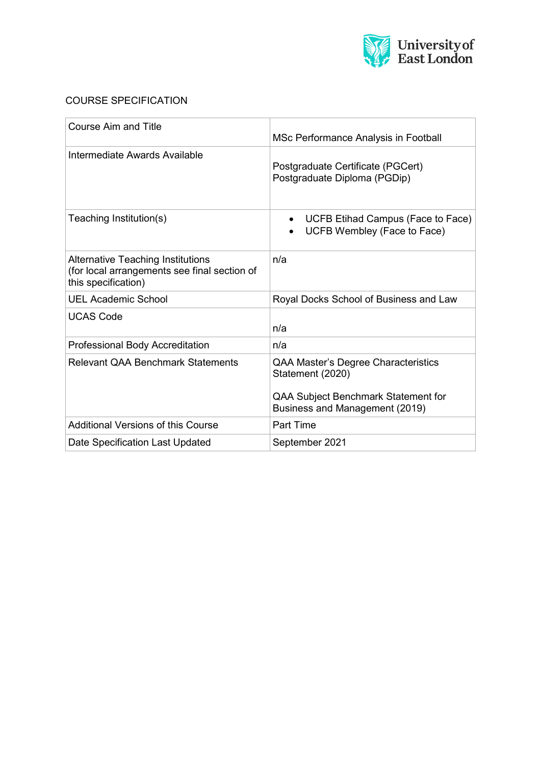

# COURSE SPECIFICATION

| <b>Course Aim and Title</b>                                                                                     | MSc Performance Analysis in Football                                                                                             |
|-----------------------------------------------------------------------------------------------------------------|----------------------------------------------------------------------------------------------------------------------------------|
| Intermediate Awards Available                                                                                   | Postgraduate Certificate (PGCert)<br>Postgraduate Diploma (PGDip)                                                                |
| Teaching Institution(s)                                                                                         | UCFB Etihad Campus (Face to Face)<br>$\bullet$<br>UCFB Wembley (Face to Face)                                                    |
| <b>Alternative Teaching Institutions</b><br>(for local arrangements see final section of<br>this specification) | n/a                                                                                                                              |
| <b>UEL Academic School</b>                                                                                      | Royal Docks School of Business and Law                                                                                           |
| <b>UCAS Code</b>                                                                                                | n/a                                                                                                                              |
| Professional Body Accreditation                                                                                 | n/a                                                                                                                              |
| <b>Relevant QAA Benchmark Statements</b>                                                                        | QAA Master's Degree Characteristics<br>Statement (2020)<br>QAA Subject Benchmark Statement for<br>Business and Management (2019) |
| Additional Versions of this Course                                                                              | Part Time                                                                                                                        |
| Date Specification Last Updated                                                                                 | September 2021                                                                                                                   |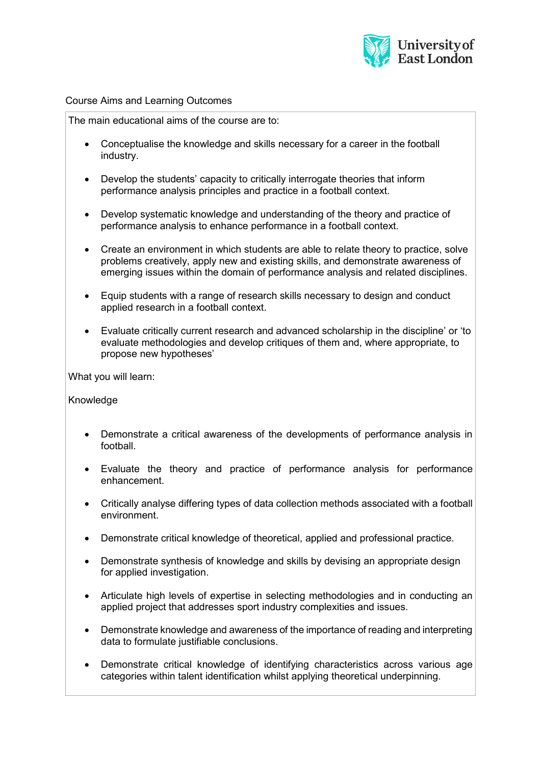

### Course Aims and Learning Outcomes

The main educational aims of the course are to:

- Conceptualise the knowledge and skills necessary for a career in the football industry.
- Develop the students' capacity to critically interrogate theories that inform performance analysis principles and practice in a football context.
- Develop systematic knowledge and understanding of the theory and practice of performance analysis to enhance performance in a football context.
- Create an environment in which students are able to relate theory to practice, solve problems creatively, apply new and existing skills, and demonstrate awareness of emerging issues within the domain of performance analysis and related disciplines.
- Equip students with a range of research skills necessary to design and conduct applied research in a football context.
- Evaluate critically current research and advanced scholarship in the discipline' or 'to evaluate methodologies and develop critiques of them and, where appropriate, to propose new hypotheses'

What you will learn:

Knowledge

- Demonstrate a critical awareness of the developments of performance analysis in football.
- Evaluate the theory and practice of performance analysis for performance enhancement.
- Critically analyse differing types of data collection methods associated with a football environment.
- Demonstrate critical knowledge of theoretical, applied and professional practice.
- Demonstrate synthesis of knowledge and skills by devising an appropriate design for applied investigation.
- Articulate high levels of expertise in selecting methodologies and in conducting an applied project that addresses sport industry complexities and issues.
- Demonstrate knowledge and awareness of the importance of reading and interpreting data to formulate justifiable conclusions.
- Demonstrate critical knowledge of identifying characteristics across various age categories within talent identification whilst applying theoretical underpinning.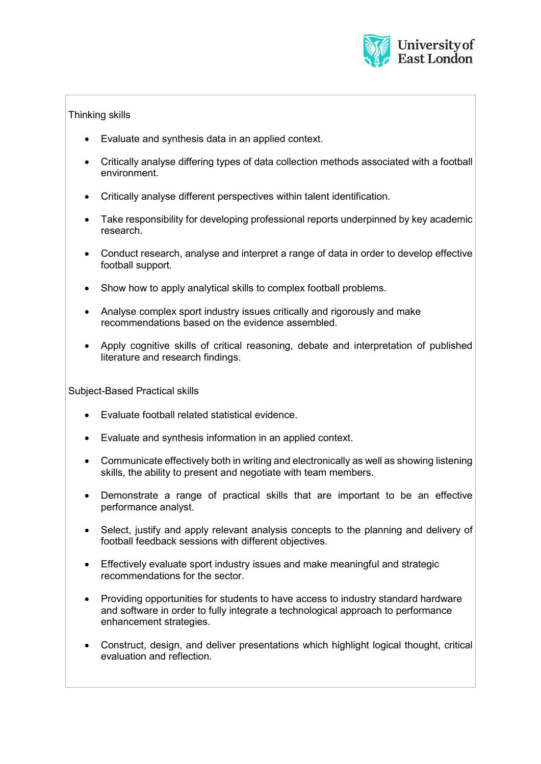

# Thinking skills

- Evaluate and synthesis data in an applied context.
- Critically analyse differing types of data collection methods associated with a football environment.
- Critically analyse different perspectives within talent identification.
- Take responsibility for developing professional reports underpinned by key academic research.
- Conduct research, analyse and interpret a range of data in order to develop effective football support.
- Show how to apply analytical skills to complex football problems.
- Analyse complex sport industry issues critically and rigorously and make recommendations based on the evidence assembled.
- Apply cognitive skills of critical reasoning, debate and interpretation of published literature and research findings.

Subject-Based Practical skills

- Evaluate football related statistical evidence.
- Evaluate and synthesis information in an applied context.
- Communicate effectively both in writing and electronically as well as showing listening skills, the ability to present and negotiate with team members.
- Demonstrate a range of practical skills that are important to be an effective performance analyst.
- Select, justify and apply relevant analysis concepts to the planning and delivery of football feedback sessions with different objectives.
- Effectively evaluate sport industry issues and make meaningful and strategic recommendations for the sector.
- Providing opportunities for students to have access to industry standard hardware and software in order to fully integrate a technological approach to performance enhancement strategies.
- Construct, design, and deliver presentations which highlight logical thought, critical evaluation and reflection.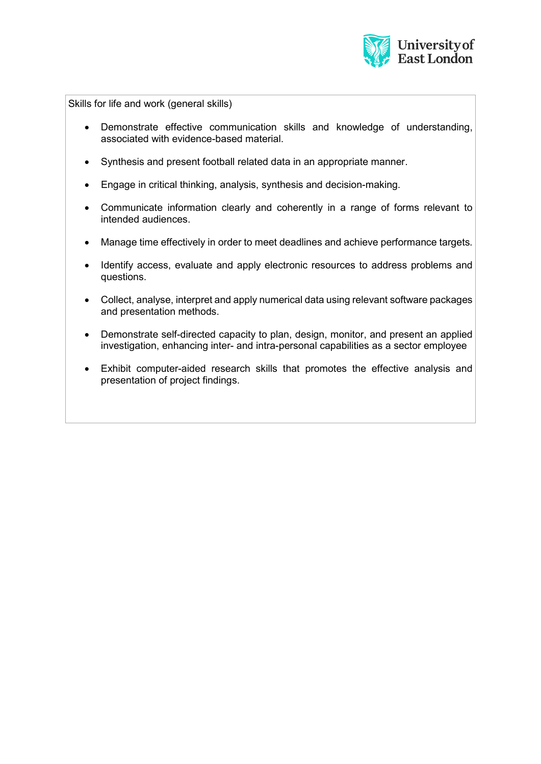

Skills for life and work (general skills)

- Demonstrate effective communication skills and knowledge of understanding, associated with evidence-based material.
- Synthesis and present football related data in an appropriate manner.
- Engage in critical thinking, analysis, synthesis and decision-making.
- Communicate information clearly and coherently in a range of forms relevant to intended audiences.
- Manage time effectively in order to meet deadlines and achieve performance targets.
- Identify access, evaluate and apply electronic resources to address problems and questions.
- Collect, analyse, interpret and apply numerical data using relevant software packages and presentation methods.
- Demonstrate self-directed capacity to plan, design, monitor, and present an applied investigation, enhancing inter- and intra-personal capabilities as a sector employee
- Exhibit computer-aided research skills that promotes the effective analysis and presentation of project findings.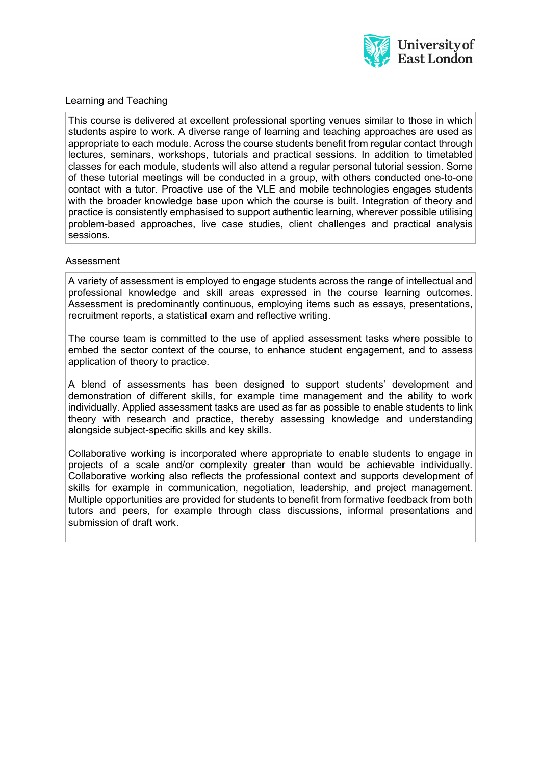

### Learning and Teaching

This course is delivered at excellent professional sporting venues similar to those in which students aspire to work. A diverse range of learning and teaching approaches are used as appropriate to each module. Across the course students benefit from regular contact through lectures, seminars, workshops, tutorials and practical sessions. In addition to timetabled classes for each module, students will also attend a regular personal tutorial session. Some of these tutorial meetings will be conducted in a group, with others conducted one-to-one contact with a tutor. Proactive use of the VLE and mobile technologies engages students with the broader knowledge base upon which the course is built. Integration of theory and practice is consistently emphasised to support authentic learning, wherever possible utilising problem-based approaches, live case studies, client challenges and practical analysis sessions.

#### Assessment

A variety of assessment is employed to engage students across the range of intellectual and professional knowledge and skill areas expressed in the course learning outcomes. Assessment is predominantly continuous, employing items such as essays, presentations, recruitment reports, a statistical exam and reflective writing.

The course team is committed to the use of applied assessment tasks where possible to embed the sector context of the course, to enhance student engagement, and to assess application of theory to practice.

A blend of assessments has been designed to support students' development and demonstration of different skills, for example time management and the ability to work individually. Applied assessment tasks are used as far as possible to enable students to link theory with research and practice, thereby assessing knowledge and understanding alongside subject-specific skills and key skills.

Collaborative working is incorporated where appropriate to enable students to engage in projects of a scale and/or complexity greater than would be achievable individually. Collaborative working also reflects the professional context and supports development of skills for example in communication, negotiation, leadership, and project management. Multiple opportunities are provided for students to benefit from formative feedback from both tutors and peers, for example through class discussions, informal presentations and submission of draft work.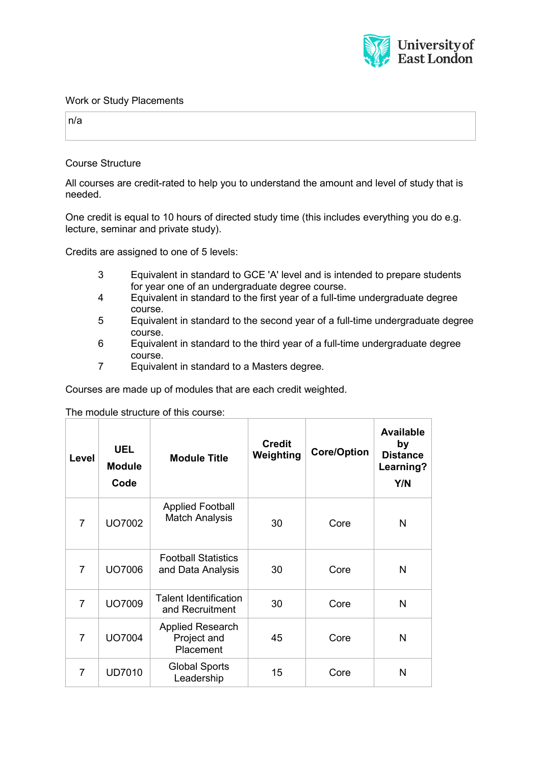

#### Work or Study Placements

n/a

Course Structure

All courses are credit-rated to help you to understand the amount and level of study that is needed.

One credit is equal to 10 hours of directed study time (this includes everything you do e.g. lecture, seminar and private study).

Credits are assigned to one of 5 levels:

- 3 Equivalent in standard to GCE 'A' level and is intended to prepare students for year one of an undergraduate degree course.
- 4 Equivalent in standard to the first year of a full-time undergraduate degree course.
- 5 Equivalent in standard to the second year of a full-time undergraduate degree course.
- 6 Equivalent in standard to the third year of a full-time undergraduate degree course.
- 7 Equivalent in standard to a Masters degree.

Courses are made up of modules that are each credit weighted.

The module structure of this course:

| Level          | <b>UEL</b><br><b>Module</b><br>Code | <b>Module Title</b>                                 | <b>Credit</b><br>Weighting | <b>Core/Option</b> | <b>Available</b><br>by<br><b>Distance</b><br>Learning?<br>Y/N |
|----------------|-------------------------------------|-----------------------------------------------------|----------------------------|--------------------|---------------------------------------------------------------|
| $\overline{7}$ | UO7002                              | <b>Applied Football</b><br><b>Match Analysis</b>    | 30                         | Core               | N                                                             |
| $\overline{7}$ | <b>UO7006</b>                       | <b>Football Statistics</b><br>and Data Analysis     | 30                         | Core               | N                                                             |
| $\overline{7}$ | <b>UO7009</b>                       | <b>Talent Identification</b><br>and Recruitment     | 30                         | Core               | N                                                             |
| $\overline{7}$ | <b>UO7004</b>                       | <b>Applied Research</b><br>Project and<br>Placement | 45                         | Core               | N                                                             |
| $\overline{7}$ | <b>UD7010</b>                       | <b>Global Sports</b><br>Leadership                  | 15                         | Core               | N                                                             |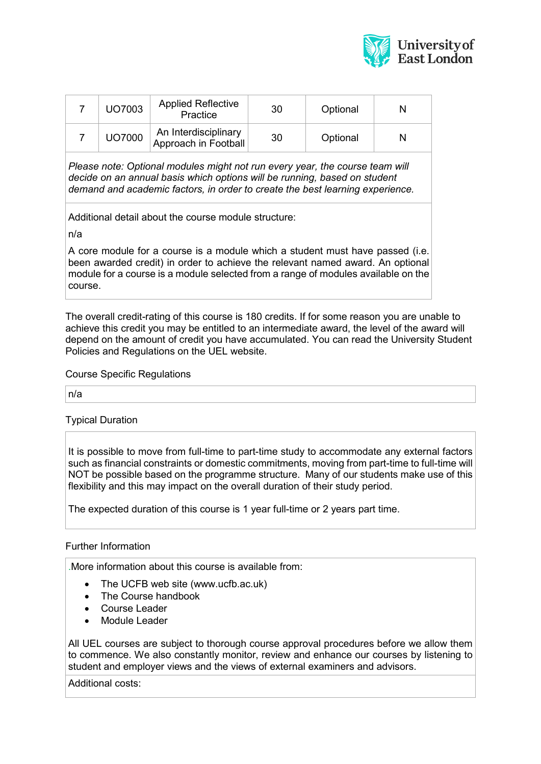

| UO7003        | <b>Applied Reflective</b><br>Practice        | 30 | Optional | N |
|---------------|----------------------------------------------|----|----------|---|
| <b>UO7000</b> | An Interdisciplinary<br>Approach in Football | 30 | Optional |   |

*Please note: Optional modules might not run every year, the course team will decide on an annual basis which options will be running, based on student demand and academic factors, in order to create the best learning experience.*

Additional detail about the course module structure:

n/a

A core module for a course is a module which a student must have passed (i.e. been awarded credit) in order to achieve the relevant named award. An optional module for a course is a module selected from a range of modules available on the course.

The overall credit-rating of this course is 180 credits. If for some reason you are unable to achieve this credit you may be entitled to an intermediate award, the level of the award will depend on the amount of credit you have accumulated. You can read the University Student Policies and Regulations on the UEL website.

Course Specific Regulations

n/a

Typical Duration

It is possible to move from full-time to part-time study to accommodate any external factors such as financial constraints or domestic commitments, moving from part-time to full-time will NOT be possible based on the programme structure. Many of our students make use of this flexibility and this may impact on the overall duration of their study period.

The expected duration of this course is 1 year full-time or 2 years part time.

## Further Information

.More information about this course is available from:

- The UCFB web site (www.ucfb.ac.uk)
- The Course handbook
- Course Leader
- Module Leader

All UEL courses are subject to thorough course approval procedures before we allow them to commence. We also constantly monitor, review and enhance our courses by listening to student and employer views and the views of external examiners and advisors.

Additional costs: